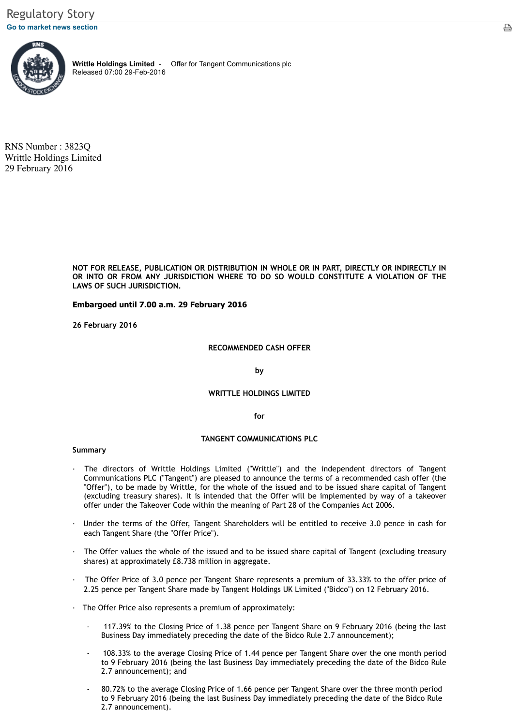NOT FOR RELEASE, PUBLICATION OR DISTRIBUTION IN WHOLE OR IN PART, DIRECTLY **IN** [OR INT](javascript:%20sendto()O OR FROM ANY JURISDICTION WHERE TO DO SO WOULD CONSTITUTE **LAWS OF SUCH JURISDICTION.**

# **Embargoed until 7.00 a.m. 29 February 2016**

**26 February 2016**

### **RECOMMENDED CASH OFFER**

**by**

# **WRITTLE HOLDINGS LIMITED**

**for**

#### **TANGENT COMMUNICATIONS PLC**

#### **Summary**

- · The directors of Writtle Holdings Limited ("Writtle") and the independent Communications PLC ("Tangent") are pleased to announce the terms of a recommended cash of  $A$ "Offer"), to be made by Writtle, for the whole of the issued and to be issued share (excluding treasury shares). It is intended that the Offer will be implemented offer under the Takeover Code within the meaning of Part 28 of the Companies A
- Under the terms of the Offer, Tangent Shareholders will be entitled to receive each Tangent Share (the "Offer Price").
- The Offer values the whole of the issued and to be issued share capital of Tangent (Excluding Tange shares) at approximately £8.738 million in aggregate.
- The Offer Price of 3.0 pence per Tangent Share represents a premium of 33.33 2.25 pence per Tangent Share made by Tangent Holdings UK Limited ("Bidco") on
- · The Offer Price also represents a premium of approximately:
	- 117.39% to the Closing Price of 1.38 pence per Tangent Share on 9 Februa Business Day immediately preceding the date of the Bidco Rule 2.7 announc
	- 108.33% to the average Closing Price of 1.44 pence per Tangent Share over to 9 February 2016 (being the last Business Day immediately preceding the 2.7 announcement); and
	- 80.72% to the average Closing Price of 1.66 pence per Tangent Share over the to 9 February 2016 (being the last Business Day immediately preceding the 2.7 announcement).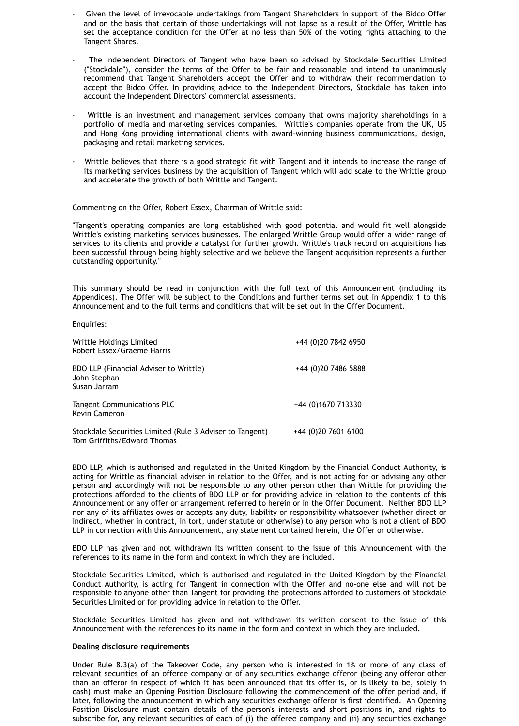- Given the level of irrevocable undertakings from Tangent Shareholders in support of the Bidco Offer and on the basis that certain of those undertakings will not lapse as a result of the Offer, Writtle has set the acceptance condition for the Offer at no less than 50% of the voting rights attaching to the Tangent Shares.
- · The Independent Directors of Tangent who have been so advised by Stockdale Securities Limited ("Stockdale"), consider the terms of the Offer to be fair and reasonable and intend to unanimously recommend that Tangent Shareholders accept the Offer and to withdraw their recommendation to accept the Bidco Offer. In providing advice to the Independent Directors, Stockdale has taken into account the Independent Directors' commercial assessments.
- · Writtle is an investment and management services company that owns majority shareholdings in a portfolio of media and marketing services companies. Writtle's companies operate from the UK, US and Hong Kong providing international clients with award-winning business communications, design, packaging and retail marketing services.
- · Writtle believes that there is a good strategic fit with Tangent and it intends to increase the range of its marketing services business by the acquisition of Tangent which will add scale to the Writtle group and accelerate the growth of both Writtle and Tangent.

Commenting on the Offer, Robert Essex, Chairman of Writtle said:

"Tangent's operating companies are long established with good potential and would fit well alongside Writtle's existing marketing services businesses. The enlarged Writtle Group would offer a wider range of services to its clients and provide a catalyst for further growth. Writtle's track record on acquisitions has been successful through being highly selective and we believe the Tangent acquisition represents a further outstanding opportunity."

This summary should be read in conjunction with the full text of this Announcement (including its Appendices). The Offer will be subject to the Conditions and further terms set out in Appendix 1 to this Announcement and to the full terms and conditions that will be set out in the Offer Document.

Enquiries:

| Writtle Holdings Limited<br>Robert Essex/Graeme Harris                                  | +44 (0)20 7842 6950   |
|-----------------------------------------------------------------------------------------|-----------------------|
| <b>BDO LLP (Financial Adviser to Writtle)</b><br>John Stephan<br>Susan Jarram           | +44 (0)20 7486 5888   |
| <b>Tangent Communications PLC</b><br><b>Kevin Cameron</b>                               | +44 (0)1670 713330    |
| Stockdale Securities Limited (Rule 3 Adviser to Tangent)<br>Tom Griffiths/Edward Thomas | $+44$ (0)20 7601 6100 |

BDO LLP, which is authorised and regulated in the United Kingdom by the Financial Conduct Authority, is acting for Writtle as financial adviser in relation to the Offer, and is not acting for or advising any other person and accordingly will not be responsible to any other person other than Writtle for providing the protections afforded to the clients of BDO LLP or for providing advice in relation to the contents of this Announcement or any offer or arrangement referred to herein or in the Offer Document. Neither BDO LLP nor any of its affiliates owes or accepts any duty, liability or responsibility whatsoever (whether direct or indirect, whether in contract, in tort, under statute or otherwise) to any person who is not a client of BDO LLP in connection with this Announcement, any statement contained herein, the Offer or otherwise.

BDO LLP has given and not withdrawn its written consent to the issue of this Announcement with the references to its name in the form and context in which they are included.

Stockdale Securities Limited, which is authorised and regulated in the United Kingdom by the Financial Conduct Authority, is acting for Tangent in connection with the Offer and no-one else and will not be responsible to anyone other than Tangent for providing the protections afforded to customers of Stockdale Securities Limited or for providing advice in relation to the Offer.

Stockdale Securities Limited has given and not withdrawn its written consent to the issue of this Announcement with the references to its name in the form and context in which they are included.

### **Dealing disclosure requirements**

Under Rule 8.3(a) of the Takeover Code, any person who is interested in 1% or more of any class of relevant securities of an offeree company or of any securities exchange offeror (being any offeror other than an offeror in respect of which it has been announced that its offer is, or is likely to be, solely in cash) must make an Opening Position Disclosure following the commencement of the offer period and, if later, following the announcement in which any securities exchange offeror is first identified. An Opening Position Disclosure must contain details of the person's interests and short positions in, and rights to subscribe for, any relevant securities of each of (i) the offeree company and (ii) any securities exchange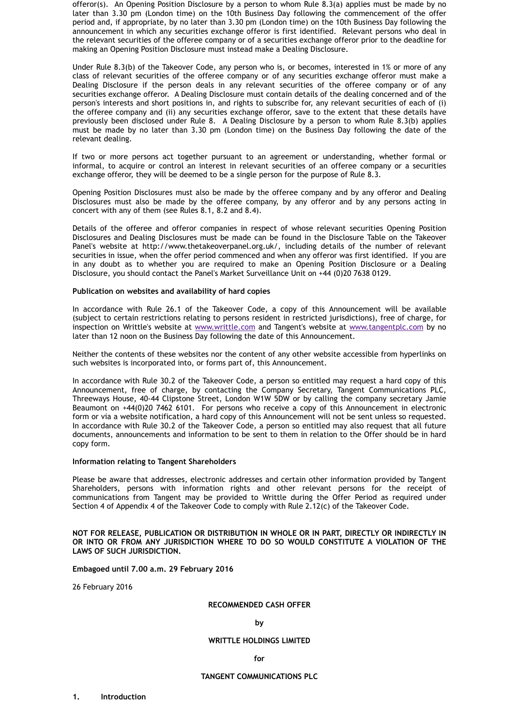securities in issue, when the offer period commenced and when any offeror was firs in any doubt as to whether you are required to make an Opening Position D Disclosure, you should contact the Panel's Market Surveillance Unit on  $+44$  (0)20 763

### **Publication on websites and availability of hard copies**

In accordance with Rule 26.1 of the Takeover Code, a copy of this Announcer (subject to certain restrictions relating to persons resident in restricted jurisdictions) inspection on Writtle's website at www.writtle.com and Tangent's website at www. later than 12 noon on the Business Day following the date of this Announcement.

Neither the contents of these websites nor the content of any other website access such websites is incorporated into, or forms part of, this Announcement.

In accordance with Rule 30.2 of the Takeover Code, a person so entitled may request Announcement, free of charge, by contacting the Company Secretary, Tangent Threeways House, 40-44 Clipstone Street, London W1W 5DW or by calling the com Beaumont on  $+44(0)20$  7462 6101. For persons who receive a copy of this Annou form or via a website notification, a hard copy of this Announcement will not be sent or when unless so requested. In accordance with Rule 30.2 of the Takeover Code, a person so entitled may also documents, announcements and information to be sent to them in relation to the  $\theta$ copy form.

### **Information relating to Tangent Shareholders**

Please be aware that addresses, electronic addresses and certain other information Shareholders, persons with information rights and other relevant persons communications from Tangent may be provided to Writtle during the Offer Per Section 4 of Appendix 4 of the Takeover Code to comply with Rule 2.12(c) of the Tak

# NOT FOR RELEASE, PUBLICATION OR DISTRIBUTION IN WHOLE OR IN PART, DIRECTLY OR INTO OR FROM ANY JURISDICTION WHERE TO DO SO WOULD CONSTITUTE **LAWS OF SUCH JURISDICTION.**

### **Embagoed until 7.00 a.m. 29 February 2016**

26 February 2016

### **RECOMMENDED CASH OFFER**

**by**

### **WRITTLE HOLDINGS LIMITED**

**for**

### **TANGENT COMMUNICATIONS PLC**

**1. Introduction**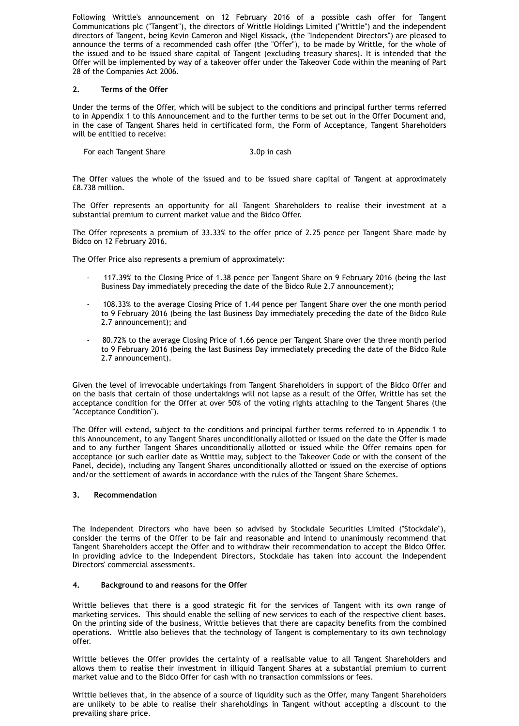Following Writtle's announcement on 12 February 2016 of a possible cash offer for Tangent Communications plc ("Tangent"), the directors of Writtle Holdings Limited ("Writtle") and the independent directors of Tangent, being Kevin Cameron and Nigel Kissack, (the "Independent Directors") are pleased to announce the terms of a recommended cash offer (the "Offer"), to be made by Writtle, for the whole of the issued and to be issued share capital of Tangent (excluding treasury shares). It is intended that the Offer will be implemented by way of a takeover offer under the Takeover Code within the meaning of Part 28 of the Companies Act 2006.

# **2. Terms of the Offer**

Under the terms of the Offer, which will be subject to the conditions and principal further terms referred to in Appendix 1 to this Announcement and to the further terms to be set out in the Offer Document and, in the case of Tangent Shares held in certificated form, the Form of Acceptance, Tangent Shareholders will be entitled to receive:

For each Tangent Share 3.0p in cash

The Offer values the whole of the issued and to be issued share capital of Tangent at approximately £8.738 million.

The Offer represents an opportunity for all Tangent Shareholders to realise their investment at a substantial premium to current market value and the Bidco Offer.

The Offer represents a premium of 33.33% to the offer price of 2.25 pence per Tangent Share made by Bidco on 12 February 2016.

The Offer Price also represents a premium of approximately:

- 117.39% to the Closing Price of 1.38 pence per Tangent Share on 9 February 2016 (being the last Business Day immediately preceding the date of the Bidco Rule 2.7 announcement);
- 108.33% to the average Closing Price of 1.44 pence per Tangent Share over the one month period to 9 February 2016 (being the last Business Day immediately preceding the date of the Bidco Rule 2.7 announcement); and
- 80.72% to the average Closing Price of 1.66 pence per Tangent Share over the three month period to 9 February 2016 (being the last Business Day immediately preceding the date of the Bidco Rule 2.7 announcement).

Given the level of irrevocable undertakings from Tangent Shareholders in support of the Bidco Offer and on the basis that certain of those undertakings will not lapse as a result of the Offer, Writtle has set the acceptance condition for the Offer at over 50% of the voting rights attaching to the Tangent Shares (the "Acceptance Condition").

The Offer will extend, subject to the conditions and principal further terms referred to in Appendix 1 to this Announcement, to any Tangent Shares unconditionally allotted or issued on the date the Offer is made and to any further Tangent Shares unconditionally allotted or issued while the Offer remains open for acceptance (or such earlier date as Writtle may, subject to the Takeover Code or with the consent of the Panel, decide), including any Tangent Shares unconditionally allotted or issued on the exercise of options and/or the settlement of awards in accordance with the rules of the Tangent Share Schemes.

#### **3. Recommendation**

The Independent Directors who have been so advised by Stockdale Securities Limited ("Stockdale"), consider the terms of the Offer to be fair and reasonable and intend to unanimously recommend that Tangent Shareholders accept the Offer and to withdraw their recommendation to accept the Bidco Offer. In providing advice to the Independent Directors, Stockdale has taken into account the Independent Directors' commercial assessments.

# **4. Background to and reasons for the Offer**

Writtle believes that there is a good strategic fit for the services of Tangent with its own range of marketing services. This should enable the selling of new services to each of the respective client bases. On the printing side of the business, Writtle believes that there are capacity benefits from the combined operations. Writtle also believes that the technology of Tangent is complementary to its own technology offer.

Writtle believes the Offer provides the certainty of a realisable value to all Tangent Shareholders and allows them to realise their investment in illiquid Tangent Shares at a substantial premium to current market value and to the Bidco Offer for cash with no transaction commissions or fees.

Writtle believes that, in the absence of a source of liquidity such as the Offer, many Tangent Shareholders are unlikely to be able to realise their shareholdings in Tangent without accepting a discount to the prevailing share price.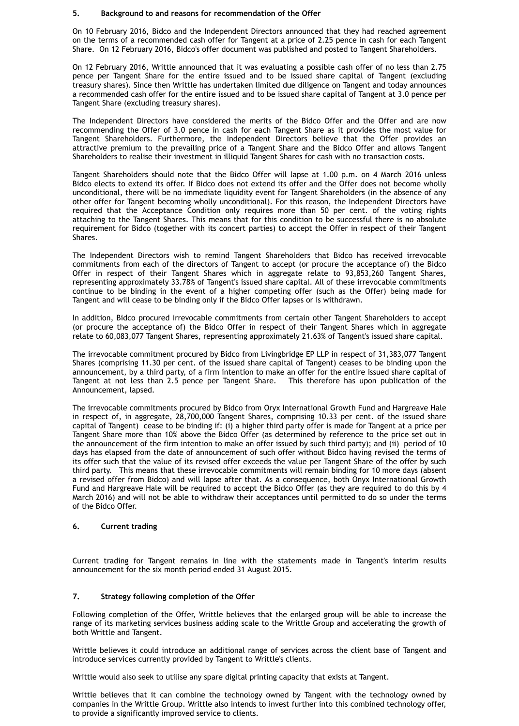### **5. Background to and reasons for recommendation of the Offer**

On 10 February 2016, Bidco and the Independent Directors announced that they had reached agreement on the terms of a recommended cash offer for Tangent at a price of 2.25 pence in cash for each Tangent Share. On 12 February 2016, Bidco's offer document was published and posted to Tangent Shareholders.

On 12 February 2016, Writtle announced that it was evaluating a possible cash offer of no less than 2.75 pence per Tangent Share for the entire issued and to be issued share capital of Tangent (excluding treasury shares). Since then Writtle has undertaken limited due diligence on Tangent and today announces a recommended cash offer for the entire issued and to be issued share capital of Tangent at 3.0 pence per Tangent Share (excluding treasury shares).

The Independent Directors have considered the merits of the Bidco Offer and the Offer and are now recommending the Offer of 3.0 pence in cash for each Tangent Share as it provides the most value for Tangent Shareholders. Furthermore, the Independent Directors believe that the Offer provides an attractive premium to the prevailing price of a Tangent Share and the Bidco Offer and allows Tangent Shareholders to realise their investment in illiquid Tangent Shares for cash with no transaction costs.

Tangent Shareholders should note that the Bidco Offer will lapse at 1.00 p.m. on 4 March 2016 unless Bidco elects to extend its offer. If Bidco does not extend its offer and the Offer does not become wholly unconditional, there will be no immediate liquidity event for Tangent Shareholders (in the absence of any other offer for Tangent becoming wholly unconditional). For this reason, the Independent Directors have required that the Acceptance Condition only requires more than 50 per cent. of the voting rights attaching to the Tangent Shares. This means that for this condition to be successful there is no absolute requirement for Bidco (together with its concert parties) to accept the Offer in respect of their Tangent Shares.

The Independent Directors wish to remind Tangent Shareholders that Bidco has received irrevocable commitments from each of the directors of Tangent to accept (or procure the acceptance of) the Bidco Offer in respect of their Tangent Shares which in aggregate relate to 93,853,260 Tangent Shares, representing approximately 33.78% of Tangent's issued share capital. All of these irrevocable commitments continue to be binding in the event of a higher competing offer (such as the Offer) being made for Tangent and will cease to be binding only if the Bidco Offer lapses or is withdrawn.

In addition, Bidco procured irrevocable commitments from certain other Tangent Shareholders to accept (or procure the acceptance of) the Bidco Offer in respect of their Tangent Shares which in aggregate relate to 60,083,077 Tangent Shares, representing approximately 21.63% of Tangent's issued share capital.

The irrevocable commitment procured by Bidco from Livingbridge EP LLP in respect of 31,383,077 Tangent Shares (comprising 11.30 per cent. of the issued share capital of Tangent) ceases to be binding upon the announcement, by a third party, of a firm intention to make an offer for the entire issued share capital of Tangent at not less than 2.5 pence per Tangent Share. This therefore has upon publication of the Announcement, lapsed.

The irrevocable commitments procured by Bidco from Oryx International Growth Fund and Hargreave Hale in respect of, in aggregate, 28,700,000 Tangent Shares, comprising 10.33 per cent. of the issued share capital of Tangent) cease to be binding if: (i) a higher third party offer is made for Tangent at a price per Tangent Share more than 10% above the Bidco Offer (as determined by reference to the price set out in the announcement of the firm intention to make an offer issued by such third party); and (ii) period of 10 days has elapsed from the date of announcement of such offer without Bidco having revised the terms of its offer such that the value of its revised offer exceeds the value per Tangent Share of the offer by such third party. This means that these irrevocable commitments will remain binding for 10 more days (absent a revised offer from Bidco) and will lapse after that. As a consequence, both Onyx International Growth Fund and Hargreave Hale will be required to accept the Bidco Offer (as they are required to do this by 4 March 2016) and will not be able to withdraw their acceptances until permitted to do so under the terms of the Bidco Offer.

# **6. Current trading**

Current trading for Tangent remains in line with the statements made in Tangent's interim results announcement for the six month period ended 31 August 2015.

# **7. Strategy following completion of the Offer**

Following completion of the Offer, Writtle believes that the enlarged group will be able to increase the range of its marketing services business adding scale to the Writtle Group and accelerating the growth of both Writtle and Tangent.

Writtle believes it could introduce an additional range of services across the client base of Tangent and introduce services currently provided by Tangent to Writtle's clients.

Writtle would also seek to utilise any spare digital printing capacity that exists at Tangent.

Writtle believes that it can combine the technology owned by Tangent with the technology owned by companies in the Writtle Group. Writtle also intends to invest further into this combined technology offer, to provide a significantly improved service to clients.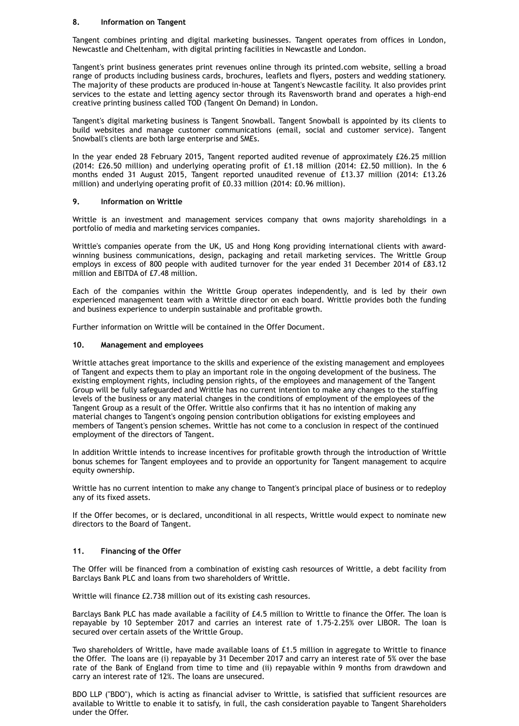# **8. Information on Tangent**

Tangent combines printing and digital marketing businesses. Tangent operates from offices in London, Newcastle and Cheltenham, with digital printing facilities in Newcastle and London.

Tangent's print business generates print revenues online through its printed.com website, selling a broad range of products including business cards, brochures, leaflets and flyers, posters and wedding stationery. The majority of these products are produced in-house at Tangent's Newcastle facility. It also provides print services to the estate and letting agency sector through its Ravensworth brand and operates a high-end creative printing business called TOD (Tangent On Demand) in London.

Tangent's digital marketing business is Tangent Snowball. Tangent Snowball is appointed by its clients to build websites and manage customer communications (email, social and customer service). Tangent Snowball's clients are both large enterprise and SMEs.

In the year ended 28 February 2015, Tangent reported audited revenue of approximately £26.25 million (2014: £26.50 million) and underlying operating profit of £1.18 million (2014: £2.50 million). In the 6 months ended 31 August 2015, Tangent reported unaudited revenue of £13.37 million (2014: £13.26 million) and underlying operating profit of £0.33 million (2014: £0.96 million).

# **9. Information on Writtle**

Writtle is an investment and management services company that owns majority shareholdings in a portfolio of media and marketing services companies.

Writtle's companies operate from the UK, US and Hong Kong providing international clients with awardwinning business communications, design, packaging and retail marketing services. The Writtle Group employs in excess of 800 people with audited turnover for the year ended 31 December 2014 of £83.12 million and EBITDA of £7.48 million.

Each of the companies within the Writtle Group operates independently, and is led by their own experienced management team with a Writtle director on each board. Writtle provides both the funding and business experience to underpin sustainable and profitable growth.

Further information on Writtle will be contained in the Offer Document.

# **10. Management and employees**

Writtle attaches great importance to the skills and experience of the existing management and employees of Tangent and expects them to play an important role in the ongoing development of the business. The existing employment rights, including pension rights, of the employees and management of the Tangent Group will be fully safeguarded and Writtle has no current intention to make any changes to the staffing levels of the business or any material changes in the conditions of employment of the employees of the Tangent Group as a result of the Offer. Writtle also confirms that it has no intention of making any material changes to Tangent's ongoing pension contribution obligations for existing employees and members of Tangent's pension schemes. Writtle has not come to a conclusion in respect of the continued employment of the directors of Tangent.

In addition Writtle intends to increase incentives for profitable growth through the introduction of Writtle bonus schemes for Tangent employees and to provide an opportunity for Tangent management to acquire equity ownership.

Writtle has no current intention to make any change to Tangent's principal place of business or to redeploy any of its fixed assets.

If the Offer becomes, or is declared, unconditional in all respects, Writtle would expect to nominate new directors to the Board of Tangent.

#### **11. Financing of the Offer**

The Offer will be financed from a combination of existing cash resources of Writtle, a debt facility from Barclays Bank PLC and loans from two shareholders of Writtle.

Writtle will finance £2.738 million out of its existing cash resources.

Barclays Bank PLC has made available a facility of £4.5 million to Writtle to finance the Offer. The loan is repayable by 10 September 2017 and carries an interest rate of 1.75-2.25% over LIBOR. The loan is secured over certain assets of the Writtle Group.

Two shareholders of Writtle, have made available loans of £1.5 million in aggregate to Writtle to finance the Offer. The loans are (i) repayable by 31 December 2017 and carry an interest rate of 5% over the base rate of the Bank of England from time to time and (ii) repayable within 9 months from drawdown and carry an interest rate of 12%. The loans are unsecured.

BDO LLP ("BDO"), which is acting as financial adviser to Writtle, is satisfied that sufficient resources are available to Writtle to enable it to satisfy, in full, the cash consideration payable to Tangent Shareholders under the Offer.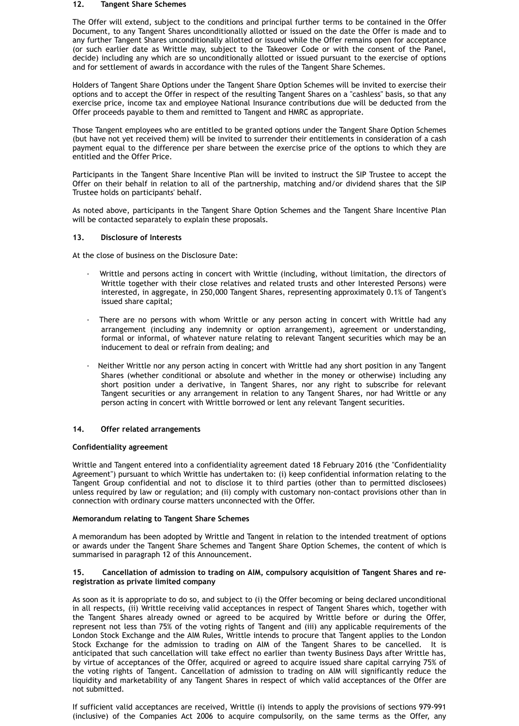#### **12. Tangent Share Schemes**

The Offer will extend, subject to the conditions and principal further terms to be contained in the Offer Document, to any Tangent Shares unconditionally allotted or issued on the date the Offer is made and to any further Tangent Shares unconditionally allotted or issued while the Offer remains open for acceptance (or such earlier date as Writtle may, subject to the Takeover Code or with the consent of the Panel, decide) including any which are so unconditionally allotted or issued pursuant to the exercise of options and for settlement of awards in accordance with the rules of the Tangent Share Schemes.

Holders of Tangent Share Options under the Tangent Share Option Schemes will be invited to exercise their options and to accept the Offer in respect of the resulting Tangent Shares on a "cashless" basis, so that any exercise price, income tax and employee National Insurance contributions due will be deducted from the Offer proceeds payable to them and remitted to Tangent and HMRC as appropriate.

Those Tangent employees who are entitled to be granted options under the Tangent Share Option Schemes (but have not yet received them) will be invited to surrender their entitlements in consideration of a cash payment equal to the difference per share between the exercise price of the options to which they are entitled and the Offer Price.

Participants in the Tangent Share Incentive Plan will be invited to instruct the SIP Trustee to accept the Offer on their behalf in relation to all of the partnership, matching and/or dividend shares that the SIP Trustee holds on participants' behalf.

As noted above, participants in the Tangent Share Option Schemes and the Tangent Share Incentive Plan will be contacted separately to explain these proposals.

# **13. Disclosure of Interests**

At the close of business on the Disclosure Date:

- · Writtle and persons acting in concert with Writtle (including, without limitation, the directors of Writtle together with their close relatives and related trusts and other Interested Persons) were interested, in aggregate, in 250,000 Tangent Shares, representing approximately 0.1% of Tangent's issued share capital;
- There are no persons with whom Writtle or any person acting in concert with Writtle had any arrangement (including any indemnity or option arrangement), agreement or understanding, formal or informal, of whatever nature relating to relevant Tangent securities which may be an inducement to deal or refrain from dealing; and
- Neither Writtle nor any person acting in concert with Writtle had any short position in any Tangent Shares (whether conditional or absolute and whether in the money or otherwise) including any short position under a derivative, in Tangent Shares, nor any right to subscribe for relevant Tangent securities or any arrangement in relation to any Tangent Shares, nor had Writtle or any person acting in concert with Writtle borrowed or lent any relevant Tangent securities.

# **14. Offer related arrangements**

# **Confidentiality agreement**

Writtle and Tangent entered into a confidentiality agreement dated 18 February 2016 (the "Confidentiality Agreement") pursuant to which Writtle has undertaken to: (i) keep confidential information relating to the Tangent Group confidential and not to disclose it to third parties (other than to permitted disclosees) unless required by law or regulation; and (ii) comply with customary non-contact provisions other than in connection with ordinary course matters unconnected with the Offer.

# **Memorandum relating to Tangent Share Schemes**

A memorandum has been adopted by Writtle and Tangent in relation to the intended treatment of options

or awards under the Tangent Share Schemes and Tangent Share Option Schemes, the content of which is summarised in paragraph 12 of this Announcement.

# **15. Cancellation of admission to trading on AIM, compulsory acquisition of Tangent Shares and reregistration as private limited company**

As soon as it is appropriate to do so, and subject to (i) the Offer becoming or being declared unconditional in all respects, (ii) Writtle receiving valid acceptances in respect of Tangent Shares which, together with the Tangent Shares already owned or agreed to be acquired by Writtle before or during the Offer, represent not less than 75% of the voting rights of Tangent and (iii) any applicable requirements of the London Stock Exchange and the AIM Rules, Writtle intends to procure that Tangent applies to the London Stock Exchange for the admission to trading on AIM of the Tangent Shares to be cancelled. It is anticipated that such cancellation will take effect no earlier than twenty Business Days after Writtle has, by virtue of acceptances of the Offer, acquired or agreed to acquire issued share capital carrying 75% of the voting rights of Tangent. Cancellation of admission to trading on AIM will significantly reduce the liquidity and marketability of any Tangent Shares in respect of which valid acceptances of the Offer are not submitted.

If sufficient valid acceptances are received, Writtle (i) intends to apply the provisions of sections 979-991 (inclusive) of the Companies Act 2006 to acquire compulsorily, on the same terms as the Offer, any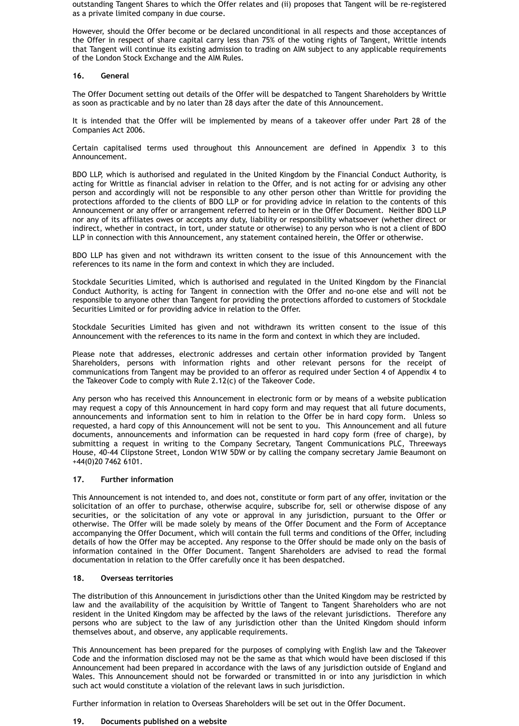outstanding Tangent Shares to which the Offer relates and (ii) proposes that Tangent will be re-registered as a private limited company in due course.

However, should the Offer become or be declared unconditional in all respects and those acceptances of the Offer in respect of share capital carry less than 75% of the voting rights of Tangent, Writtle intends that Tangent will continue its existing admission to trading on AIM subject to any applicable requirements of the London Stock Exchange and the AIM Rules.

### **16. General**

The Offer Document setting out details of the Offer will be despatched to Tangent Shareholders by Writtle as soon as practicable and by no later than 28 days after the date of this Announcement.

It is intended that the Offer will be implemented by means of a takeover offer under Part 28 of the Companies Act 2006.

Certain capitalised terms used throughout this Announcement are defined in Appendix 3 to this Announcement.

BDO LLP, which is authorised and regulated in the United Kingdom by the Financial Conduct Authority, is acting for Writtle as financial adviser in relation to the Offer, and is not acting for or advising any other person and accordingly will not be responsible to any other person other than Writtle for providing the protections afforded to the clients of BDO LLP or for providing advice in relation to the contents of this Announcement or any offer or arrangement referred to herein or in the Offer Document. Neither BDO LLP nor any of its affiliates owes or accepts any duty, liability or responsibility whatsoever (whether direct or indirect, whether in contract, in tort, under statute or otherwise) to any person who is not a client of BDO LLP in connection with this Announcement, any statement contained herein, the Offer or otherwise.

BDO LLP has given and not withdrawn its written consent to the issue of this Announcement with the references to its name in the form and context in which they are included.

Stockdale Securities Limited, which is authorised and regulated in the United Kingdom by the Financial Conduct Authority, is acting for Tangent in connection with the Offer and no-one else and will not be responsible to anyone other than Tangent for providing the protections afforded to customers of Stockdale Securities Limited or for providing advice in relation to the Offer.

Stockdale Securities Limited has given and not withdrawn its written consent to the issue of this Announcement with the references to its name in the form and context in which they are included.

Please note that addresses, electronic addresses and certain other information provided by Tangent Shareholders, persons with information rights and other relevant persons for the receipt of communications from Tangent may be provided to an offeror as required under Section 4 of Appendix 4 to the Takeover Code to comply with Rule 2.12(c) of the Takeover Code.

Any person who has received this Announcement in electronic form or by means of a website publication may request a copy of this Announcement in hard copy form and may request that all future documents, announcements and information sent to him in relation to the Offer be in hard copy form. Unless so requested, a hard copy of this Announcement will not be sent to you. This Announcement and all future documents, announcements and information can be requested in hard copy form (free of charge), by submitting a request in writing to the Company Secretary, Tangent Communications PLC, Threeways House, 40-44 Clipstone Street, London W1W 5DW or by calling the company secretary Jamie Beaumont on +44(0)20 7462 6101.

# **17. Further information**

This Announcement is not intended to, and does not, constitute or form part of any offer, invitation or the solicitation of an offer to purchase, otherwise acquire, subscribe for, sell or otherwise dispose of any securities, or the solicitation of any vote or approval in any jurisdiction, pursuant to the Offer or otherwise. The Offer will be made solely by means of the Offer Document and the Form of Acceptance accompanying the Offer Document, which will contain the full terms and conditions of the Offer, including details of how the Offer may be accepted. Any response to the Offer should be made only on the basis of information contained in the Offer Document. Tangent Shareholders are advised to read the formal documentation in relation to the Offer carefully once it has been despatched.

#### **18. Overseas territories**

The distribution of this Announcement in jurisdictions other than the United Kingdom may be restricted by law and the availability of the acquisition by Writtle of Tangent to Tangent Shareholders who are not resident in the United Kingdom may be affected by the laws of the relevant jurisdictions. Therefore any persons who are subject to the law of any jurisdiction other than the United Kingdom should inform themselves about, and observe, any applicable requirements.

This Announcement has been prepared for the purposes of complying with English law and the Takeover Code and the information disclosed may not be the same as that which would have been disclosed if this Announcement had been prepared in accordance with the laws of any jurisdiction outside of England and Wales. This Announcement should not be forwarded or transmitted in or into any jurisdiction in which such act would constitute a violation of the relevant laws in such jurisdiction.

Further information in relation to Overseas Shareholders will be set out in the Offer Document.

### **19. Documents published on a website**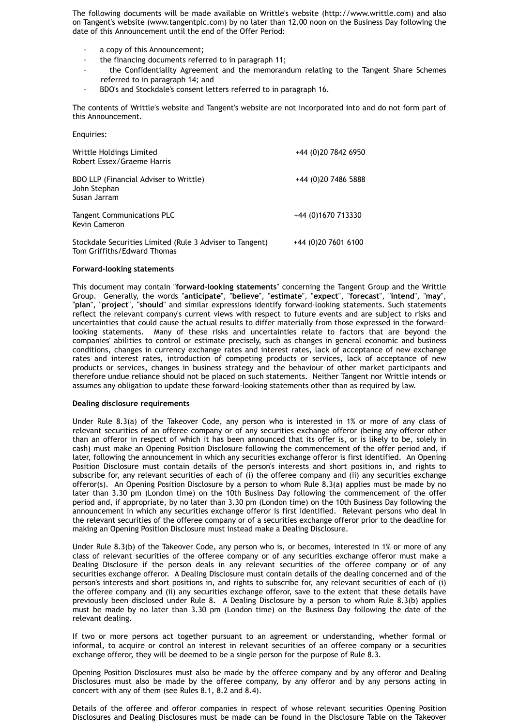The following documents will be made available on Writtle's website (http://www.writtle.com) and also on Tangent's website (www.tangentplc.com) by no later than 12.00 noon on the Business Day following the date of this Announcement until the end of the Offer Period:

- · a copy of this Announcement;
- · the financing documents referred to in paragraph 11;
- the Confidentiality Agreement and the memorandum relating to the Tangent Share Schemes referred to in paragraph 14; and
- · BDO's and Stockdale's consent letters referred to in paragraph 16.

The contents of Writtle's website and Tangent's website are not incorporated into and do not form part of this Announcement.

Enquiries:

| Writtle Holdings Limited<br>Robert Essex/Graeme Harris                                  | +44 (0)20 7842 6950   |
|-----------------------------------------------------------------------------------------|-----------------------|
| <b>BDO LLP (Financial Adviser to Writtle)</b><br>John Stephan<br>Susan Jarram           | +44 (0)20 7486 5888   |
| <b>Tangent Communications PLC</b><br><b>Kevin Cameron</b>                               | +44 (0)1670 713330    |
| Stockdale Securities Limited (Rule 3 Adviser to Tangent)<br>Tom Griffiths/Edward Thomas | $+44$ (0)20 7601 6100 |

#### **Forward-looking statements**

This document may contain "**forward-looking statements**" concerning the Tangent Group and the Writtle Group. Generally, the words "**anticipate**", "**believe**", "**estimate**", "**expect**", "**forecast**", "**intend**", "**may**", "**plan**", "**project**", "**should**" and similar expressions identify forward-looking statements. Such statements reflect the relevant company's current views with respect to future events and are subject to risks and uncertainties that could cause the actual results to differ materially from those expressed in the forwardlooking statements. Many of these risks and uncertainties relate to factors that are beyond the companies' abilities to control or estimate precisely, such as changes in general economic and business conditions, changes in currency exchange rates and interest rates, lack of acceptance of new exchange rates and interest rates, introduction of competing products or services, lack of acceptance of new products or services, changes in business strategy and the behaviour of other market participants and therefore undue reliance should not be placed on such statements. Neither Tangent nor Writtle intends or assumes any obligation to update these forward-looking statements other than as required by law.

# **Dealing disclosure requirements**

Under Rule 8.3(a) of the Takeover Code, any person who is interested in 1% or more of any class of relevant securities of an offeree company or of any securities exchange offeror (being any offeror other than an offeror in respect of which it has been announced that its offer is, or is likely to be, solely in cash) must make an Opening Position Disclosure following the commencement of the offer period and, if later, following the announcement in which any securities exchange offeror is first identified. An Opening Position Disclosure must contain details of the person's interests and short positions in, and rights to subscribe for, any relevant securities of each of (i) the offeree company and (ii) any securities exchange offeror(s). An Opening Position Disclosure by a person to whom Rule 8.3(a) applies must be made by no later than 3.30 pm (London time) on the 10th Business Day following the commencement of the offer period and, if appropriate, by no later than 3.30 pm (London time) on the 10th Business Day following the announcement in which any securities exchange offeror is first identified. Relevant persons who deal in the relevant securities of the offeree company or of a securities exchange offeror prior to the deadline for making an Opening Position Disclosure must instead make a Dealing Disclosure.

Under Rule 8.3(b) of the Takeover Code, any person who is, or becomes, interested in 1% or more of any class of relevant securities of the offeree company or of any securities exchange offeror must make a Dealing Disclosure if the person deals in any relevant securities of the offeree company or of any securities exchange offeror. A Dealing Disclosure must contain details of the dealing concerned and of the person's interests and short positions in, and rights to subscribe for, any relevant securities of each of (i) the offeree company and (ii) any securities exchange offeror, save to the extent that these details have previously been disclosed under Rule 8. A Dealing Disclosure by a person to whom Rule 8.3(b) applies must be made by no later than 3.30 pm (London time) on the Business Day following the date of the relevant dealing.

If two or more persons act together pursuant to an agreement or understanding, whether formal or informal, to acquire or control an interest in relevant securities of an offeree company or a securities exchange offeror, they will be deemed to be a single person for the purpose of Rule 8.3.

Opening Position Disclosures must also be made by the offeree company and by any offeror and Dealing Disclosures must also be made by the offeree company, by any offeror and by any persons acting in concert with any of them (see Rules 8.1, 8.2 and 8.4).

Details of the offeree and offeror companies in respect of whose relevant securities Opening Position Disclosures and Dealing Disclosures must be made can be found in the Disclosure Table on the Takeover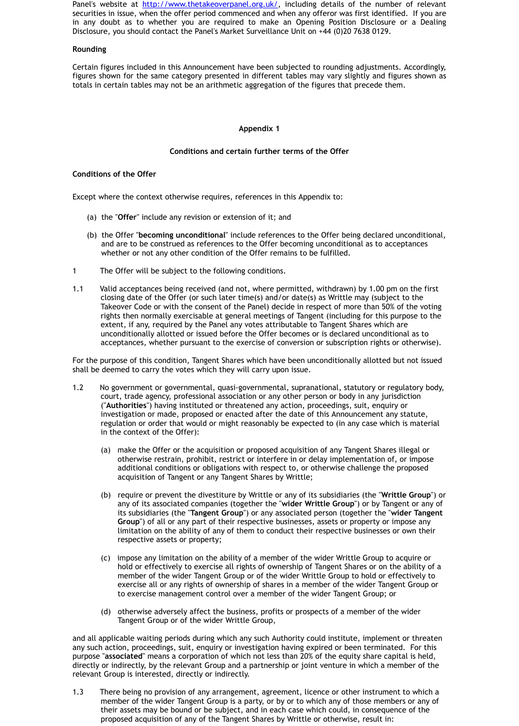- whether or [not any other condition of the Offer rem](http://www.thetakeoverpanel.org.uk/)ains to be fulfilled.
- 1 The Offer will be subject to the following conditions.
- 1.1 Valid acceptances being received (and not, where permitted, withdrawn) by closing date of the Offer (or such later time(s) and/or date(s) as Writtle ma Takeover Code or with the consent of the Panel) decide in respect of more t rights then normally exercisable at general meetings of Tangent (including for extent, if any, required by the Panel any votes attributable to Tangent Share unconditionally allotted or issued before the Offer becomes or is declared u acceptances, whether pursuant to the exercise of conversion or subscription

For the purpose of this condition, Tangent Shares which have been unconditionally a shall be deemed to carry the votes which they will carry upon issue.

- 1.2 No government or governmental, quasi-governmental, supranational, statutory court, trade agency, professional association or any other person or body in ("Authorities") having instituted or threatened any action, proceedings, suit investigation or made, proposed or enacted after the date of this Announce regulation or order that would or might reasonably be expected to (in any c in the context of the Offer):
	- (a) make the Offer or the acquisition or proposed acquisition of any Tanger otherwise restrain, prohibit, restrict or interfere in or delay implement additional conditions or obligations with respect to, or otherwise challenge the proposed the proposed to propo acquisition of Tangent or any Tangent Shares by Writtle;
	- (b) require or prevent the divestiture by Writtle or any of its subsidiaries (**the "** any of its associated companies (together the "wider Writtle Group") or its subsidiaries (the "Tangent Group") or any associated person (togeth **Group**") of all or any part of their respective businesses, assets or prop limitation on the ability of any of them to conduct their respective buses respective assets or property;
	- $(c)$  impose any limitation on the ability of a member of the wider Writtle G hold or effectively to exercise all rights of ownership of Tangent Shares member of the wider Tangent Group or of the wider Writtle Group to h exercise all or any rights of ownership of shares in a member of the wider to exercise management control over a member of the wider Tangent G
	- (d) otherwise adversely affect the business, profits or prospects of a memi Tangent Group or of the wider Writtle Group,

and all applicable waiting periods during which any such Authority could institute, implement or threatent or threatent or threatent or threatent or threatent or threatent or threatent or threatent or threatent or threaten any such action, proceedings, suit, enquiry or investigation having expired or been to purpose "associated" means a corporation of which not less than 20% of the equity s directly or indirectly, by the relevant Group and a partnership or joint venture in wh relevant Group is interested, directly or indirectly.

1.3 There being no provision of any arrangement, agreement, licence or other in member of the wider Tangent Group is a party, or by or to which any of those their assets may be bound or be subject, and in each case which could, in c proposed acquisition of any of the Tangent Shares by Writtle or otherwise, resulted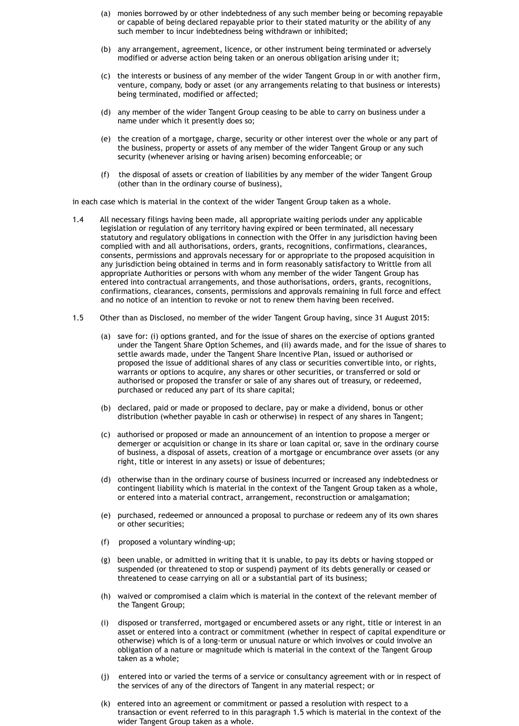- (a) monies borrowed by or other indebtedness of any such member being or becoming repayable or capable of being declared repayable prior to their stated maturity or the ability of any such member to incur indebtedness being withdrawn or inhibited;
- (b) any arrangement, agreement, licence, or other instrument being terminated or adversely modified or adverse action being taken or an onerous obligation arising under it;
- (c) the interests or business of any member of the wider Tangent Group in or with another firm, venture, company, body or asset (or any arrangements relating to that business or interests) being terminated, modified or affected;
- (d) any member of the wider Tangent Group ceasing to be able to carry on business under a name under which it presently does so;
- (e) the creation of a mortgage, charge, security or other interest over the whole or any part of the business, property or assets of any member of the wider Tangent Group or any such security (whenever arising or having arisen) becoming enforceable; or
- (f) the disposal of assets or creation of liabilities by any member of the wider Tangent Group (other than in the ordinary course of business),

in each case which is material in the context of the wider Tangent Group taken as a whole.

- 1.4 All necessary filings having been made, all appropriate waiting periods under any applicable legislation or regulation of any territory having expired or been terminated, all necessary statutory and regulatory obligations in connection with the Offer in any jurisdiction having been complied with and all authorisations, orders, grants, recognitions, confirmations, clearances, consents, permissions and approvals necessary for or appropriate to the proposed acquisition in any jurisdiction being obtained in terms and in form reasonably satisfactory to Writtle from all appropriate Authorities or persons with whom any member of the wider Tangent Group has entered into contractual arrangements, and those authorisations, orders, grants, recognitions, confirmations, clearances, consents, permissions and approvals remaining in full force and effect and no notice of an intention to revoke or not to renew them having been received.
- 1.5 Other than as Disclosed, no member of the wider Tangent Group having, since 31 August 2015:
	- (a) save for: (i) options granted, and for the issue of shares on the exercise of options granted under the Tangent Share Option Schemes, and (ii) awards made, and for the issue of shares to settle awards made, under the Tangent Share Incentive Plan, issued or authorised or proposed the issue of additional shares of any class or securities convertible into, or rights, warrants or options to acquire, any shares or other securities, or transferred or sold or authorised or proposed the transfer or sale of any shares out of treasury, or redeemed, purchased or reduced any part of its share capital;
	- (b) declared, paid or made or proposed to declare, pay or make a dividend, bonus or other distribution (whether payable in cash or otherwise) in respect of any shares in Tangent;
	- (c) authorised or proposed or made an announcement of an intention to propose a merger or demerger or acquisition or change in its share or loan capital or, save in the ordinary course of business, a disposal of assets, creation of a mortgage or encumbrance over assets (or any right, title or interest in any assets) or issue of debentures;
	- (d) otherwise than in the ordinary course of business incurred or increased any indebtedness or contingent liability which is material in the context of the Tangent Group taken as a whole, or entered into a material contract, arrangement, reconstruction or amalgamation;
	- (e) purchased, redeemed or announced a proposal to purchase or redeem any of its own shares or other securities;
	- (f) proposed a voluntary winding-up;
	- (g) been unable, or admitted in writing that it is unable, to pay its debts or having stopped or suspended (or threatened to stop or suspend) payment of its debts generally or ceased or threatened to cease carrying on all or a substantial part of its business;
	- (h) waived or compromised a claim which is material in the context of the relevant member of the Tangent Group;
	- (i) disposed or transferred, mortgaged or encumbered assets or any right, title or interest in an asset or entered into a contract or commitment (whether in respect of capital expenditure or otherwise) which is of a long-term or unusual nature or which involves or could involve an obligation of a nature or magnitude which is material in the context of the Tangent Group taken as a whole;
	- (j) entered into or varied the terms of a service or consultancy agreement with or in respect of the services of any of the directors of Tangent in any material respect; or
	- (k) entered into an agreement or commitment or passed a resolution with respect to a transaction or event referred to in this paragraph 1.5 which is material in the context of the wider Tangent Group taken as a whole.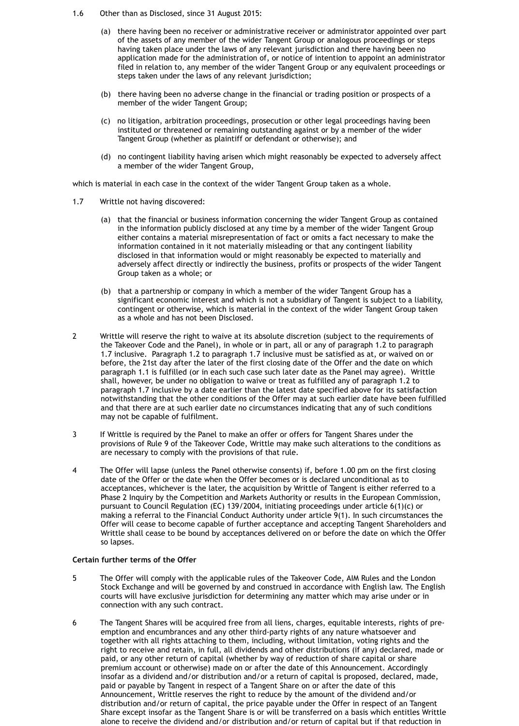- 1.6 Other than as Disclosed, since 31 August 2015:
	- (a) there having been no receiver or administrative receiver or administrator appointed over part of the assets of any member of the wider Tangent Group or analogous proceedings or steps having taken place under the laws of any relevant jurisdiction and there having been no application made for the administration of, or notice of intention to appoint an administrator filed in relation to, any member of the wider Tangent Group or any equivalent proceedings or steps taken under the laws of any relevant jurisdiction;
	- (b) there having been no adverse change in the financial or trading position or prospects of a member of the wider Tangent Group;
	- (c) no litigation, arbitration proceedings, prosecution or other legal proceedings having been instituted or threatened or remaining outstanding against or by a member of the wider Tangent Group (whether as plaintiff or defendant or otherwise); and
	- (d) no contingent liability having arisen which might reasonably be expected to adversely affect a member of the wider Tangent Group,

which is material in each case in the context of the wider Tangent Group taken as a whole.

- 1.7 Writtle not having discovered:
	- (a) that the financial or business information concerning the wider Tangent Group as contained in the information publicly disclosed at any time by a member of the wider Tangent Group either contains a material misrepresentation of fact or omits a fact necessary to make the information contained in it not materially misleading or that any contingent liability disclosed in that information would or might reasonably be expected to materially and adversely affect directly or indirectly the business, profits or prospects of the wider Tangent Group taken as a whole; or
	- (b) that a partnership or company in which a member of the wider Tangent Group has a significant economic interest and which is not a subsidiary of Tangent is subject to a liability, contingent or otherwise, which is material in the context of the wider Tangent Group taken as a whole and has not been Disclosed.
- 2 Writtle will reserve the right to waive at its absolute discretion (subject to the requirements of the Takeover Code and the Panel), in whole or in part, all or any of paragraph 1.2 to paragraph 1.7 inclusive. Paragraph 1.2 to paragraph 1.7 inclusive must be satisfied as at, or waived on or before, the 21st day after the later of the first closing date of the Offer and the date on which paragraph 1.1 is fulfilled (or in each such case such later date as the Panel may agree). Writtle shall, however, be under no obligation to waive or treat as fulfilled any of paragraph 1.2 to paragraph 1.7 inclusive by a date earlier than the latest date specified above for its satisfaction notwithstanding that the other conditions of the Offer may at such earlier date have been fulfilled and that there are at such earlier date no circumstances indicating that any of such conditions may not be capable of fulfilment.
- 3 If Writtle is required by the Panel to make an offer or offers for Tangent Shares under the provisions of Rule 9 of the Takeover Code, Writtle may make such alterations to the conditions as are necessary to comply with the provisions of that rule.
- 4 The Offer will lapse (unless the Panel otherwise consents) if, before 1.00 pm on the first closing date of the Offer or the date when the Offer becomes or is declared unconditional as to acceptances, whichever is the later, the acquisition by Writtle of Tangent is either referred to a Phase 2 Inquiry by the Competition and Markets Authority or results in the European Commission, pursuant to Council Regulation (EC) 139/2004, initiating proceedings under article 6(1)(c) or making a referral to the Financial Conduct Authority under article 9(1). In such circumstances the Offer will cease to become capable of further acceptance and accepting Tangent Shareholders and Writtle shall cease to be bound by acceptances delivered on or before the date on which the Offer

#### so lapses.

### **Certain further terms of the Offer**

- 5 The Offer will comply with the applicable rules of the Takeover Code, AIM Rules and the London Stock Exchange and will be governed by and construed in accordance with English law. The English courts will have exclusive jurisdiction for determining any matter which may arise under or in connection with any such contract.
- 6 The Tangent Shares will be acquired free from all liens, charges, equitable interests, rights of preemption and encumbrances and any other third-party rights of any nature whatsoever and together with all rights attaching to them, including, without limitation, voting rights and the right to receive and retain, in full, all dividends and other distributions (if any) declared, made or paid, or any other return of capital (whether by way of reduction of share capital or share premium account or otherwise) made on or after the date of this Announcement. Accordingly insofar as a dividend and/or distribution and/or a return of capital is proposed, declared, made, paid or payable by Tangent in respect of a Tangent Share on or after the date of this Announcement, Writtle reserves the right to reduce by the amount of the dividend and/or distribution and/or return of capital, the price payable under the Offer in respect of an Tangent Share except insofar as the Tangent Share is or will be transferred on a basis which entitles Writtle alone to receive the dividend and/or distribution and/or return of capital but if that reduction in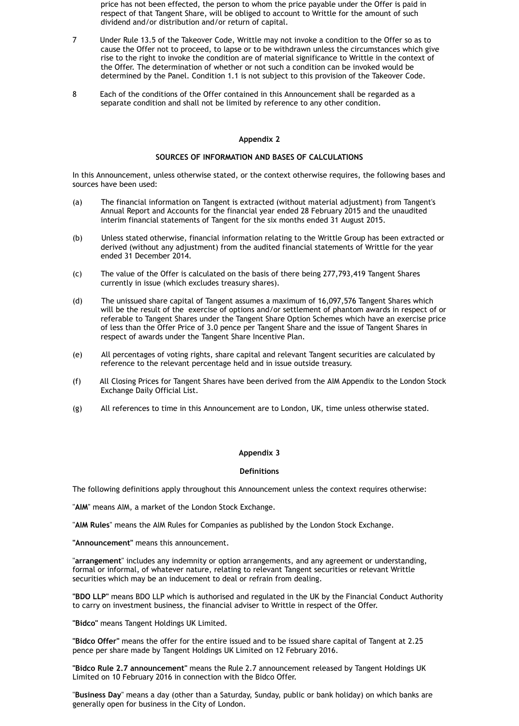price has not been effected, the person to whom the price payable under the Offer is paid in respect of that Tangent Share, will be obliged to account to Writtle for the amount of such dividend and/or distribution and/or return of capital.

In this Announcement, unless otherwise stated, or the context otherwise requires, the following bases and sources have been used:

- 7 Under Rule 13.5 of the Takeover Code, Writtle may not invoke a condition to the Offer so as to cause the Offer not to proceed, to lapse or to be withdrawn unless the circumstances which give rise to the right to invoke the condition are of material significance to Writtle in the context of the Offer. The determination of whether or not such a condition can be invoked would be determined by the Panel. Condition 1.1 is not subject to this provision of the Takeover Code.
- 8 Each of the conditions of the Offer contained in this Announcement shall be regarded as a separate condition and shall not be limited by reference to any other condition.

# **Appendix 2**

# **SOURCES OF INFORMATION AND BASES OF CALCULATIONS**

- (a) The financial information on Tangent is extracted (without material adjustment) from Tangent's Annual Report and Accounts for the financial year ended 28 February 2015 and the unaudited interim financial statements of Tangent for the six months ended 31 August 2015.
- (b) Unless stated otherwise, financial information relating to the Writtle Group has been extracted or derived (without any adjustment) from the audited financial statements of Writtle for the year ended 31 December 2014.
- (c) The value of the Offer is calculated on the basis of there being 277,793,419 Tangent Shares currently in issue (which excludes treasury shares).
- (d) The unissued share capital of Tangent assumes a maximum of 16,097,576 Tangent Shares which will be the result of the exercise of options and/or settlement of phantom awards in respect of or referable to Tangent Shares under the Tangent Share Option Schemes which have an exercise price of less than the Offer Price of 3.0 pence per Tangent Share and the issue of Tangent Shares in respect of awards under the Tangent Share Incentive Plan.
- (e) All percentages of voting rights, share capital and relevant Tangent securities are calculated by reference to the relevant percentage held and in issue outside treasury.
- (f) All Closing Prices for Tangent Shares have been derived from the AIM Appendix to the London Stock Exchange Daily Official List.
- (g) All references to time in this Announcement are to London, UK, time unless otherwise stated.

# **Appendix 3**

# **Definitions**

The following definitions apply throughout this Announcement unless the context requires otherwise:

"**AIM**" means AIM, a market of the London Stock Exchange.

"**AIM Rules**" means the AIM Rules for Companies as published by the London Stock Exchange.

**"Announcement"** means this announcement.

"**arrangement**" includes any indemnity or option arrangements, and any agreement or understanding, formal or informal, of whatever nature, relating to relevant Tangent securities or relevant Writtle securities which may be an inducement to deal or refrain from dealing.

**"BDO LLP"** means BDO LLP which is authorised and regulated in the UK by the Financial Conduct Authority to carry on investment business, the financial adviser to Writtle in respect of the Offer.

**"Bidco"** means Tangent Holdings UK Limited.

**"Bidco Offer"** means the offer for the entire issued and to be issued share capital of Tangent at 2.25 pence per share made by Tangent Holdings UK Limited on 12 February 2016.

**"Bidco Rule 2.7 announcement"** means the Rule 2.7 announcement released by Tangent Holdings UK Limited on 10 February 2016 in connection with the Bidco Offer.

"**Business Day**" means a day (other than a Saturday, Sunday, public or bank holiday) on which banks are generally open for business in the City of London.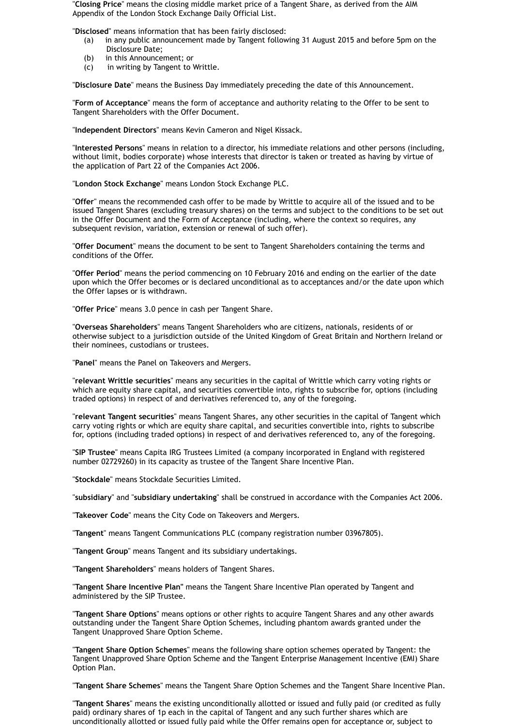"**Closing Price**" means the closing middle market price of a Tangent Share, as derived from the AIM Appendix of the London Stock Exchange Daily Official List.

"**Disclosed**" means information that has been fairly disclosed:

- (a) in any public announcement made by Tangent following 31 August 2015 and before 5pm on the Disclosure Date;
- (b) in this Announcement; or
- (c) in writing by Tangent to Writtle.

"**Disclosure Date**" means the Business Day immediately preceding the date of this Announcement.

"**Form of Acceptance**" means the form of acceptance and authority relating to the Offer to be sent to Tangent Shareholders with the Offer Document.

"**Independent Directors**" means Kevin Cameron and Nigel Kissack.

"**Interested Persons**" means in relation to a director, his immediate relations and other persons (including, without limit, bodies corporate) whose interests that director is taken or treated as having by virtue of the application of Part 22 of the Companies Act 2006.

"**London Stock Exchange**" means London Stock Exchange PLC.

"**Offer**" means the recommended cash offer to be made by Writtle to acquire all of the issued and to be issued Tangent Shares (excluding treasury shares) on the terms and subject to the conditions to be set out in the Offer Document and the Form of Acceptance (including, where the context so requires, any subsequent revision, variation, extension or renewal of such offer).

"**Offer Document**" means the document to be sent to Tangent Shareholders containing the terms and conditions of the Offer.

"**Offer Period**" means the period commencing on 10 February 2016 and ending on the earlier of the date upon which the Offer becomes or is declared unconditional as to acceptances and/or the date upon which the Offer lapses or is withdrawn.

"**Offer Price**" means 3.0 pence in cash per Tangent Share.

"**Overseas Shareholders**" means Tangent Shareholders who are citizens, nationals, residents of or otherwise subject to a jurisdiction outside of the United Kingdom of Great Britain and Northern Ireland or their nominees, custodians or trustees.

"**Panel**" means the Panel on Takeovers and Mergers.

"**relevant Writtle securities**" means any securities in the capital of Writtle which carry voting rights or which are equity share capital, and securities convertible into, rights to subscribe for, options (including traded options) in respect of and derivatives referenced to, any of the foregoing.

"**relevant Tangent securities**" means Tangent Shares, any other securities in the capital of Tangent which carry voting rights or which are equity share capital, and securities convertible into, rights to subscribe for, options (including traded options) in respect of and derivatives referenced to, any of the foregoing.

"**SIP Trustee**" means Capita IRG Trustees Limited (a company incorporated in England with registered number 02729260) in its capacity as trustee of the Tangent Share Incentive Plan.

"**Stockdale**" means Stockdale Securities Limited.

"**subsidiary**" and "**subsidiary undertaking**" shall be construed in accordance with the Companies Act 2006.

"**Takeover Code**" means the City Code on Takeovers and Mergers.

"**Tangent**" means Tangent Communications PLC (company registration number 03967805).

"**Tangent Group**" means Tangent and its subsidiary undertakings.

"**Tangent Shareholders**" means holders of Tangent Shares.

"**Tangent Share Incentive Plan"** means the Tangent Share Incentive Plan operated by Tangent and administered by the SIP Trustee.

"**Tangent Share Options**" means options or other rights to acquire Tangent Shares and any other awards outstanding under the Tangent Share Option Schemes, including phantom awards granted under the Tangent Unapproved Share Option Scheme.

"**Tangent Share Option Schemes**" means the following share option schemes operated by Tangent: the Tangent Unapproved Share Option Scheme and the Tangent Enterprise Management Incentive (EMI) Share Option Plan.

"**Tangent Share Schemes**" means the Tangent Share Option Schemes and the Tangent Share Incentive Plan.

"**Tangent Shares**" means the existing unconditionally allotted or issued and fully paid (or credited as fully paid) ordinary shares of 1p each in the capital of Tangent and any such further shares which are unconditionally allotted or issued fully paid while the Offer remains open for acceptance or, subject to